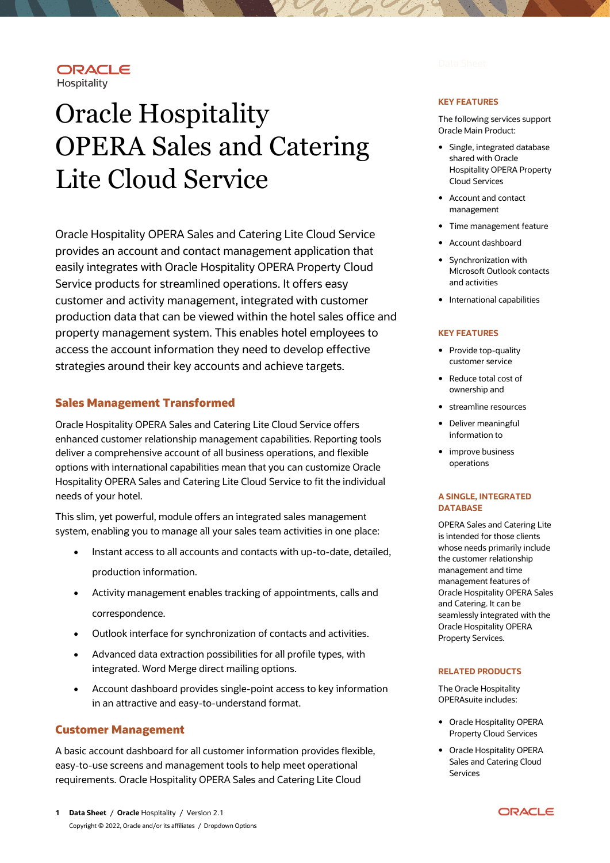## ORACLE Hospitality

# Oracle Hospitality OPERA Sales and Catering Lite Cloud Service

Oracle Hospitality OPERA Sales and Catering Lite Cloud Service provides an account and contact management application that easily integrates with Oracle Hospitality OPERA Property Cloud Service products for streamlined operations. It offers easy customer and activity management, integrated with customer production data that can be viewed within the hotel sales office and property management system. This enables hotel employees to access the account information they need to develop effective strategies around their key accounts and achieve targets.

# **Sales Management Transformed**

Oracle Hospitality OPERA Sales and Catering Lite Cloud Service offers enhanced customer relationship management capabilities. Reporting tools deliver a comprehensive account of all business operations, and flexible options with international capabilities mean that you can customize Oracle Hospitality OPERA Sales and Catering Lite Cloud Service to fit the individual needs of your hotel.

This slim, yet powerful, module offers an integrated sales management system, enabling you to manage all your sales team activities in one place:

- Instant access to all accounts and contacts with up-to-date, detailed, production information.
- Activity management enables tracking of appointments, calls and correspondence.
- Outlook interface for synchronization of contacts and activities.
- Advanced data extraction possibilities for all profile types, with integrated. Word Merge direct mailing options.
- Account dashboard provides single-point access to key information in an attractive and easy-to-understand format.

# **Customer Management**

A basic account dashboard for all customer information provides flexible, easy-to-use screens and management tools to help meet operational requirements. Oracle Hospitality OPERA Sales and Catering Lite Cloud

#### **KEY FEATURES**

The following services support Oracle Main Product:

- Single, integrated database shared with Oracle Hospitality OPERA Property Cloud Services
- Account and contact management
- Time management feature
- Account dashboard
- Synchronization with Microsoft Outlook contacts and activities
- International capabilities

#### **KEY FEATURES**

- Provide top-quality customer service
- Reduce total cost of ownership and
- streamline resources
- Deliver meaningful information to
- improve business operations

#### **A SINGLE, INTEGRATED DATABASE**

OPERA Sales and Catering Lite is intended for those clients whose needs primarily include the customer relationship management and time management features of Oracle Hospitality OPERA Sales and Catering. It can be seamlessly integrated with the Oracle Hospitality OPERA Property Services.

#### **RELATED PRODUCTS**

The Oracle Hospitality OPERAsuite includes:

- Oracle Hospitality OPERA Property Cloud Services
- Oracle Hospitality OPERA Sales and Catering Cloud Services